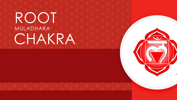## ROOT MULADHARA CHAKRA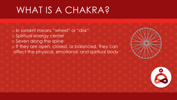## WHAT IS A CHAKRA?

o In sanskrit means "wheel" or "disk"

- o Spiritual energy center
- o Seven along the spine

o If they are open, closed, or balanced, they can

affect the physical, emotional, and spiritual body

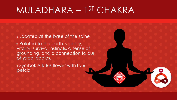## MULADHARA – 1 ST CHAKRA

o Located at the base of the spine

o Related to the earth, stability, vitality, survival instincts, a sense of grounding, and a connection to our physical bodies.

o Symbol: A lotus flower with four petals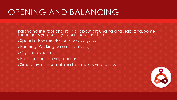## OPENING AND BALANCING

Balancing the root chakra is all about grounding and stabilizing. Some techniques you can try to balance this chakra are to:

- o Spend a few minutes outside everyday
- o Earthing (Walking barefoot outside)
- o Organize your room
- o Practice specific yoga poses
- o Simply invest in something that makes you happy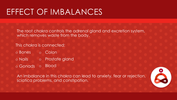## EFFECT OF IMBALANCES

The root chakra controls the adrenal gland and excretion system, which removes waste from the body.

This chakra is connected:

- o Bones o Colon
- o Nails o Prostate gland
- o Gonads o Blood

An imbalance in this chakra can lead to anxiety, fear or rejection, sciatica problems, and constipation.

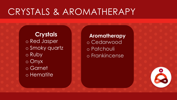## CRYSTALS & AROMATHERAPY

#### **Crystals** o Red Jasper o Smoky quartz o Ruby o Onyx o Garnet o Hematite

**Aromatherapy** o Cedarwood o Patchouli o Frankincense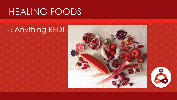## HEALING FOODS

# o Anything RED!

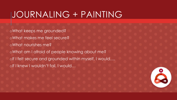## JOURNALING + PAINTING

oWhat keeps me grounded? oWhat makes me feel secure? oWhat nourishes me? oWhat am I afraid of people knowing about me? oIf I felt secure and grounded within myself, I would…. oIf I knew I wouldn't fail, I would…